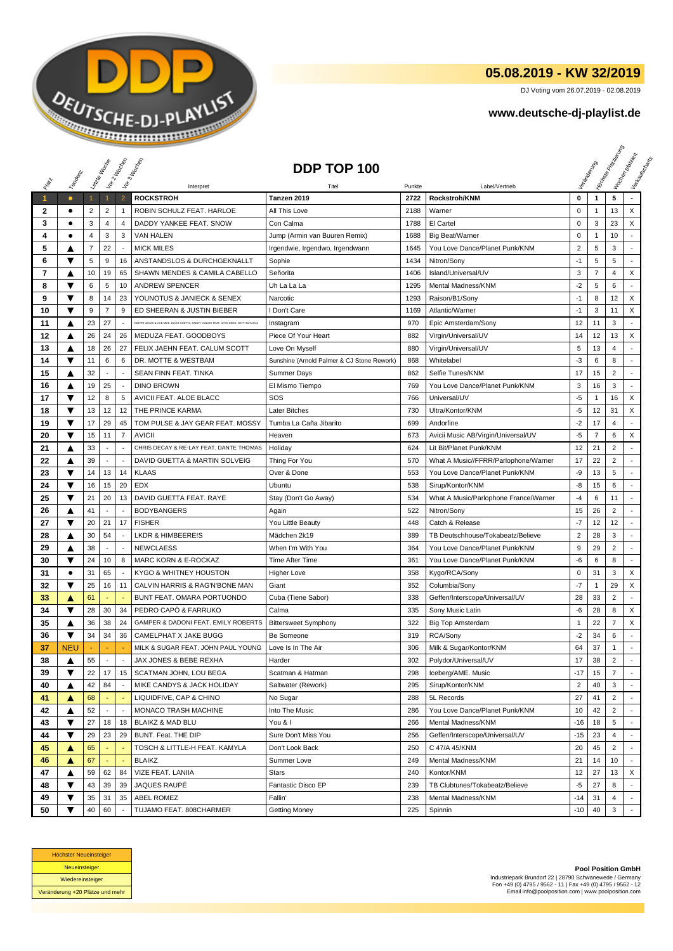

## **05.08.2019 - KW 32/2019**

DJ Voting vom 26.07.2019 - 02.08.2019

## **www.deutsche-dj-playlist.de**

|              |                |              | Leizie Hacop        | Voir 2 Moone             | Vor3 Incolas                                                                         | DDP TOP 100                                |              |                                                          |                |                | <b>I Yon<sub>do Papi</sub></b> | I tochen palacien<br>Verkauferten |
|--------------|----------------|--------------|---------------------|--------------------------|--------------------------------------------------------------------------------------|--------------------------------------------|--------------|----------------------------------------------------------|----------------|----------------|--------------------------------|-----------------------------------|
| PREV         | Templomic      |              |                     |                          |                                                                                      |                                            |              |                                                          |                |                |                                |                                   |
|              |                |              |                     |                          | Interpret                                                                            | Titel                                      | Punkte       | Label/Vertrieb<br>Rockstroh/KNM                          | 0              |                | 5                              |                                   |
| $\mathbf{1}$ | $\bullet$<br>٠ | $\mathbf{1}$ |                     | $\overline{2}$           | <b>ROCKSTROH</b><br>ROBIN SCHULZ FEAT. HARLOE                                        | Tanzen 2019                                | 2722         |                                                          | 0              | $\mathbf{1}$   | 13                             | X                                 |
| 2<br>3       | ٠              | 2<br>3       | $\overline{c}$<br>4 | 1<br>4                   | DADDY YANKEE FEAT. SNOW                                                              | All This Love<br>Con Calma                 | 2188<br>1788 | Warner<br>El Cartel                                      | $\mathbf 0$    | 1<br>3         | 23                             | X                                 |
| 4            | ٠              | 4            | 3                   | 3                        | <b>VAN HALEN</b>                                                                     |                                            | 1688         |                                                          | $\pmb{0}$      | $\mathbf{1}$   | 10                             |                                   |
| 5            |                | 7            | 22                  | $\sim$                   | <b>MICK MILES</b>                                                                    | Jump (Armin van Buuren Remix)              | 1645         | <b>Big Beat/Warner</b><br>You Love Dance/Planet Punk/KNM | $\overline{2}$ | 5              | 3                              |                                   |
|              | Δ<br>▼         |              |                     |                          |                                                                                      | Irgendwie, Irgendwo, Irgendwann            |              |                                                          | $-1$           | 5              |                                |                                   |
| 6<br>7       |                | 5<br>10      | 9<br>19             | 16                       | ANSTANDSLOS & DURCHGEKNALLT<br>SHAWN MENDES & CAMILA CABELLO                         | Sophie<br>Señorita                         | 1434<br>1406 | Nitron/Sony                                              | 3              | $\overline{7}$ | 5<br>4                         | X                                 |
|              | ▲<br>▼         |              |                     | 65                       |                                                                                      |                                            |              | Island/Universal/UV                                      |                |                |                                | ٠                                 |
| 8            | ▼              | 6            | 5<br>14             | 10<br>23                 | <b>ANDREW SPENCER</b><br>YOUNOTUS & JANIECK & SENEX                                  | Uh La La La<br>Narcotic                    | 1295         | Mental Madness/KNM                                       | $-2$<br>$-1$   | 5              | 6<br>12                        | X                                 |
| 9            | ▼              | 8            | $\overline{7}$      |                          | ED SHEERAN & JUSTIN BIEBER                                                           |                                            | 1293         | Raison/B1/Sony                                           | $-1$           | 8              |                                |                                   |
| 10           |                | 9            |                     | 9                        |                                                                                      | I Don't Care                               | 1169         | Atlantic/Warner                                          |                | 3              | 11                             | X                                 |
| 11           | ▲              | 23           | 27                  | $\sim$                   | DIMITRI VEGAS & LIKE MIKE, DAVID GUETTA, DADDY YANKEE FEAT. AFRO BROS, NATTI NATASHA | Instagram                                  | 970          | Epic Amsterdam/Sony                                      | 12             | 11             | 3                              | $\sim$                            |
| 12           | ▲              | 26           | 24                  | 26                       | MEDUZA FEAT. GOODBOYS                                                                | Piece Of Your Heart                        | 882          | Virgin/Universal/UV                                      | 14             | 12             | 13                             | X                                 |
| 13           | ▲              | 18           | 26                  | 27                       | FELIX JAEHN FEAT. CALUM SCOTT                                                        | Love On Myself                             | 880          | Virgin/Universal/UV                                      | 5              | 13             | 4                              |                                   |
| 14           | ▼              | 11           | 6                   | 6                        | DR. MOTTE & WESTBAM                                                                  | Sunshine (Arnold Palmer & CJ Stone Rework) | 868          | Whitelabel                                               | $-3$           | 6              | 8                              | $\blacksquare$                    |
| 15           | ▲              | 32           | ÷,                  |                          | SEAN FINN FEAT. TINKA                                                                | Summer Days                                | 862          | Selfie Tunes/KNM                                         | 17             | 15             | $\overline{c}$                 | $\overline{a}$                    |
| 16           | ▲              | 19           | 25                  | $\overline{\phantom{a}}$ | <b>DINO BROWN</b>                                                                    | El Mismo Tiempo                            | 769          | You Love Dance/Planet Punk/KNM                           | 3              | 16             | 3                              |                                   |
| 17           | ▼              | 12           | 8                   | 5                        | AVICII FEAT. ALOE BLACC                                                              | SOS                                        | 766          | Universal/UV                                             | $-5$           | 1              | 16                             | X                                 |
| 18           | ▼              | 13           | 12                  | 12                       | THE PRINCE KARMA                                                                     | Later Bitches                              | 730          | Ultra/Kontor/KNM                                         | -5             | 12             | 31                             | X                                 |
| 19           | ▼              | 17           | 29                  | 45                       | TOM PULSE & JAY GEAR FEAT. MOSSY                                                     | Tumba La Caña Jibarito                     | 699          | Andorfine                                                | $-2$           | 17             | 4                              |                                   |
| 20           | ▼              | 15           | 11                  | $\overline{7}$           | <b>AVICII</b>                                                                        | Heaven                                     | 673          | Avicii Music AB/Virgin/Universal/UV                      | $-5$           | $\overline{7}$ | 6                              | X                                 |
| 21           | ▲              | 33           | ٠                   | $\sim$                   | CHRIS DECAY & RE-LAY FEAT. DANTE THOMAS                                              | Holiday                                    | 624          | Lit Bit/Planet Punk/KNM                                  | 12             | 21             | $\overline{2}$                 |                                   |
| 22           | ▲              | 39           |                     | $\sim$                   | DAVID GUETTA & MARTIN SOLVEIG                                                        | Thing For You                              | 570          | What A Music//FFRR/Parlophone/Warner                     | 17             | 22             | $\overline{2}$                 |                                   |
| 23           | ▼              | 14           | 13                  | 14                       | <b>KLAAS</b>                                                                         | Over & Done                                | 553          | You Love Dance/Planet Punk/KNM                           | -9             | 13             | 5                              |                                   |
| 24           | ▼              | 16           | 15                  | 20                       | <b>EDX</b>                                                                           | Ubuntu                                     | 538          | Sirup/Kontor/KNM                                         | -8             | 15             | 6                              |                                   |
| 25           | ▼              | 21           | 20                  | 13                       | DAVID GUETTA FEAT. RAYE                                                              | Stay (Don't Go Away)                       | 534          | What A Music/Parlophone France/Warner                    | $-4$           | 6              | 11                             |                                   |
| 26           | ▲              | 41           |                     | $\overline{\phantom{a}}$ | <b>BODYBANGERS</b>                                                                   | Again                                      | 522          | Nitron/Sony                                              | 15             | 26             | $\overline{2}$                 |                                   |
| 27           | ▼              | 20           | 21                  | 17                       | <b>FISHER</b>                                                                        | You Little Beauty                          | 448          | Catch & Release                                          | $-7$           | 12             | 12                             | $\blacksquare$                    |
| 28           | ▲              | 30           | 54                  |                          | <b>LKDR &amp; HIMBEERE!S</b>                                                         | Mädchen 2k19                               | 389          | TB Deutschhouse/Tokabeatz/Believe                        | $\overline{2}$ | 28             | 3                              |                                   |
| 29           | ▲              | 38           |                     | $\overline{\phantom{a}}$ | <b>NEWCLAESS</b>                                                                     | When I'm With You                          | 364          | You Love Dance/Planet Punk/KNM                           | 9              | 29             | $\overline{2}$                 |                                   |
| 30           | ▼              | 24           | 10                  | 8                        | <b>MARC KORN &amp; E-ROCKAZ</b>                                                      | Time After Time                            | 361          | You Love Dance/Planet Punk/KNM                           | $-6$           | 6              | 8                              |                                   |
| 31           | $\bullet$      | 31           | 65                  |                          | KYGO & WHITNEY HOUSTON                                                               | <b>Higher Love</b>                         | 358          | Kygo/RCA/Sony                                            | 0              | 31             | 3                              | X                                 |
| 32           | ▼              | 25           | 16                  | 11                       | CALVIN HARRIS & RAG'N'BONE MAN                                                       | Giant                                      | 352          | Columbia/Sony                                            | $-7$           | -1             | 29                             | X                                 |
| 33           | A              | 61           |                     |                          | BUNT FEAT. OMARA PORTUONDO                                                           | Cuba (Tiene Sabor)                         | 338          | Geffen/Interscope/Universal/UV                           | 28             | 33             | 2                              |                                   |
| 34           | ▼              | 28           | 30                  | 34                       | PEDRO CAPÒ & FARRUKO                                                                 | Calma                                      | 335          | Sony Music Latin                                         | -6             | 28             | 8                              | X                                 |
| 35           | ▲              | 36           | 38                  | 24                       | GAMPER & DADONI FEAT. EMILY ROBERTS                                                  | <b>Bittersweet Symphony</b>                | 322          | <b>Big Top Amsterdam</b>                                 | 1              | 22             | 7                              | X                                 |
| 36           | ▼              | 34           | 34                  | 36                       | CAMELPHAT X JAKE BUGG                                                                | Be Someone                                 | 319          | RCA/Sony                                                 | $-2$           | 34             | 6                              |                                   |
| 37           | NEU            |              |                     |                          | MILK & SUGAR FEAT. JOHN PAUL YOUNG                                                   | Love Is In The Air                         | 306          | Milk & Sugar/Kontor/KNM                                  | 64             | 37             | $\mathbf{1}$                   | $\sim$                            |
| 38           | ▲              | 55           |                     |                          | JAX JONES & BEBE REXHA                                                               | Harder                                     | 302          | Polydor/Universal/UV                                     | 17             | 38             | 2                              |                                   |
| 39           | ▼              | 22           | 17                  |                          | 15   SCATMAN JOHN, LOU BEGA                                                          | Scatman & Hatman                           | 298          | Iceberg/AME. Music                                       | $-17$          | 15             | $\overline{7}$                 |                                   |
| 40           | ▲              | 42           | 84                  |                          | MIKE CANDYS & JACK HOLIDAY                                                           | Saltwater (Rework)                         | 295          | Sirup/Kontor/KNM                                         | $\overline{2}$ | 40             | 3                              |                                   |
| 41           | ▲              | 68           |                     |                          | LIQUIDFIVE, CAP & CHINO                                                              | No Sugar                                   | 288          | 5L Records                                               | 27             | 41             | $\overline{2}$                 |                                   |
| 42           | ▲              | 52           |                     | $\overline{\phantom{a}}$ | MONACO TRASH MACHINE                                                                 | Into The Music                             | 286          | You Love Dance/Planet Punk/KNM                           | 10             | 42             | $\overline{2}$                 |                                   |
| 43           | ▼              | 27           | 18                  | 18                       | BLAIKZ & MAD BLU                                                                     | You & I                                    | 266          | Mental Madness/KNM                                       | -16            | 18             | 5                              |                                   |
| 44           | ▼              | 29           | 23                  | 29                       | BUNT. Feat. THE DIP                                                                  | Sure Don't Miss You                        | 256          | Geffen/Interscope/Universal/UV                           | $-15$          | 23             | 4                              |                                   |
| 45           | A              | 65           |                     |                          | TOSCH & LITTLE-H FEAT. KAMYLA                                                        | Don't Look Back                            | 250          | C 47/A 45/KNM                                            | 20             | 45             | $\overline{2}$                 |                                   |
| 46           | ▲              | 67           | ä,                  |                          | <b>BLAIKZ</b>                                                                        | Summer Love                                | 249          | Mental Madness/KNM                                       | 21             | 14             | 10                             | $\blacksquare$                    |
| 47           | ▲              | 59           | 62                  | 84                       | VIZE FEAT. LANIIA                                                                    | Stars                                      | 240          | Kontor/KNM                                               | 12             | 27             | 13                             | X                                 |
| 48           | ▼              | 43           | 39                  | 39                       | JAQUES RAUPÉ                                                                         | Fantastic Disco EP                         | 239          | TB Clubtunes/Tokabeatz/Believe                           | -5             | 27             | 8                              |                                   |
| 49           | ▼              | 35           | 31                  | 35                       | ABEL ROMEZ                                                                           | Fallin'                                    | 238          | Mental Madness/KNM                                       | -14            | 31             | 4                              |                                   |
| 50           | ▼              | 40           | 60                  |                          | TUJAMO FEAT. 808CHARMER                                                              | Getting Money                              | 225          | Spinnin                                                  | $-10$          | 40             | $\mathbf{3}$                   |                                   |



**Pool Position GmbH** Industriepark Brundorf 22 | 28790 Schwanewede / Germany Fon +49 (0) 4795 / 9562 - 11 | Fax +49 (0) 4795 / 9562 - 12 Email info@poolposition.com | www.poolposition.com